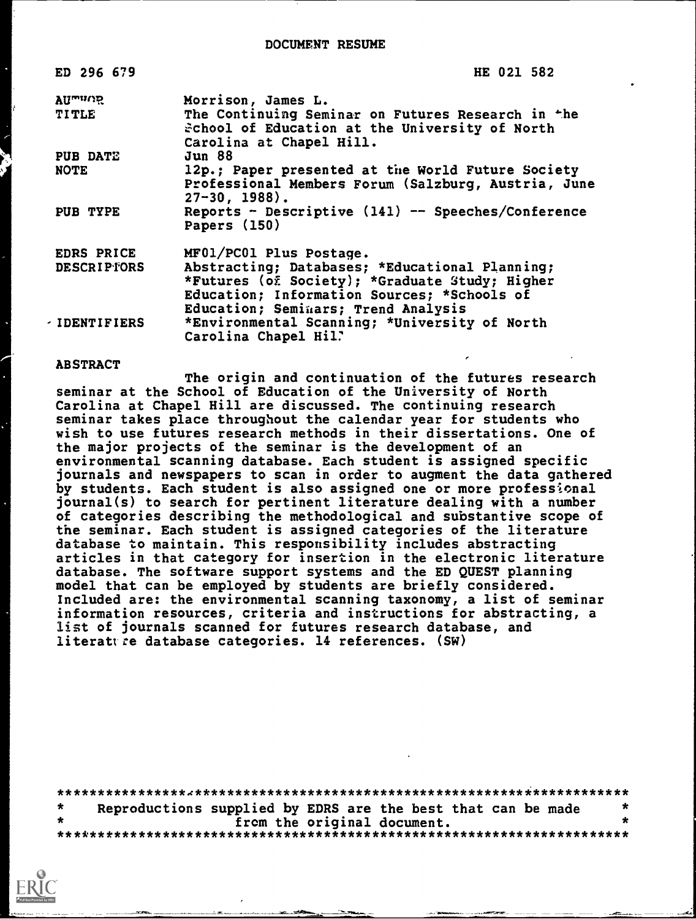ED 296 679 HE 021 582

| <b>AUmung</b>      | Morrison, James L.                                                                                  |
|--------------------|-----------------------------------------------------------------------------------------------------|
| TITLE              | The Continuing Seminar on Futures Research in the<br>Echool of Education at the University of North |
|                    | Carolina at Chapel Hill.                                                                            |
| PUB DATE           | Jun 88                                                                                              |
| NOTE               | 12p.; Paper presented at the World Future Society                                                   |
|                    | Professional Members Forum (Salzburg, Austria, June<br>$27 - 30$ , 1988).                           |
| PUB TYPE           | Reports - Descriptive $(141)$ -- Speeches/Conference<br>Papers (150)                                |
| EDRS PRICE         | MF01/PC01 Plus Postage.                                                                             |
| <b>DESCRIPTORS</b> | Abstracting; Databases; *Educational Planning;                                                      |
|                    | *Futures (of Society); *Graduate Study; Higher                                                      |
|                    | Education; Information Sources; *Schools of                                                         |
|                    | Education; Seminars; Trend Analysis                                                                 |
| DENTIFIERS         | *Environmental Scanning; *University of North<br>Carolina Chapel Hil.                               |

#### **ABSTRACT**

The origin and continuation of the futures research seminar at the School of Education of the University of North Carolina at Chapel Hill are discussed. The continuing research seminar takes place throughout the calendar year for students who wish to use futures research methods in their dissertations. One of the major projects of the seminar is the development of an environmental scanning database. Each student is assigned specific journals and newspapers to scan in order to augment the data gathered by students. Each student is also assigned one or more professional journal(s) to search for pertinent literature dealing with a number of categories describing the methodological and substantive scope of the seminar. Each student is assigned categories of the literature database to maintain. This responsibility includes abstracting articles in that category for insertion in the electronic literature database. The software support systems and the ED QUEST planning model that can be employed by students are briefly considered. Included are: the environmental scanning taxonomy, a list of seminar information resources, criteria and instructions for abstracting, a list of journals scanned for futures research database, and literattre database categories. 14 references.  $(SW)$ 

\*\*\*\*\*\*\*\*\*\*\*\*\*\*\*\*4\*\*\*\*\*\*\*\*\*\*\*\*\*\*\*\*\*\*\*\*\*\*\*\*\*\*\*\*\*\*\*\*\*\*\*\*\*\*\*\*\*\*\*\*\*\*\*\*\*\*\*\*\*\* Reproductions supplied by EDRS are the best that can be made from the original document. \*\*\*\*\*\*\*\*\*\*\*\*\*\*\*\*\*\*\*\*\*\*\*\*\*\*\*\*\*\*\*\*\*\*\*\*\*\*\*\*\*\*\*\*\*\*\*\*\*\*\*\*\*\*\*\*\*\*\*\*\*\*\*\*\*\*\*\*\*\*\*

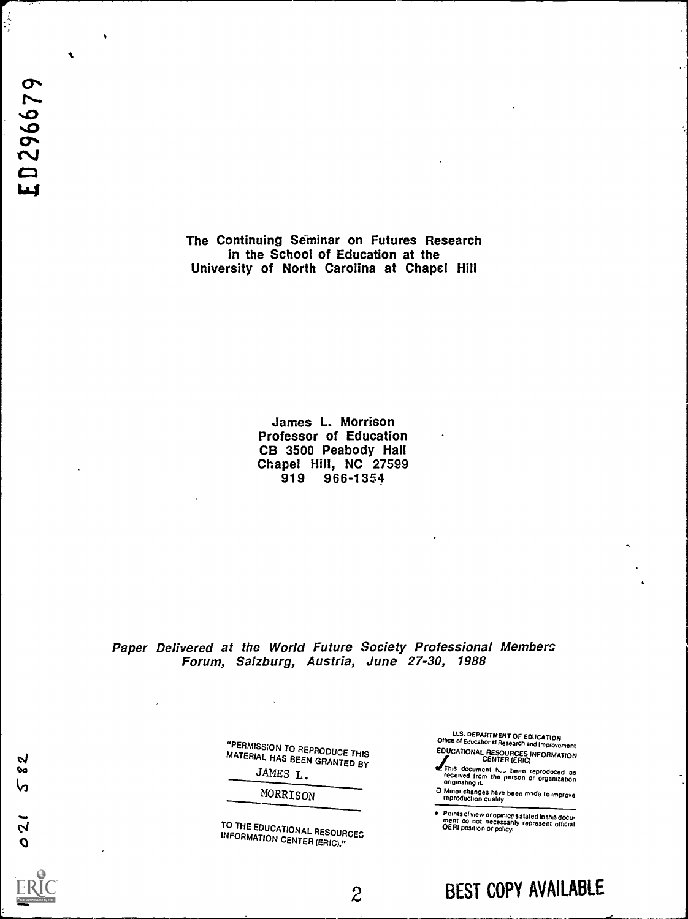The Continuing Seminar on Futures Research in the School of Education at the University of North Carolina at Chapel Hill

> James L. Morrison Professor of Education CB 3500 Peabody Hall Chapel Hill, NC 27599 919 966-1354

Paper Delivered at the World Future Society Professional Members Forum, Salzburg, Austria, June 27-30, <sup>1988</sup>

 $2 \qquad \qquad$ 

"PERMISSION TO REPRODUCE MATERIAL HAS BEEN GRANTED BY JAMES L.

MORRISON

TO THE EDUCATIONAL RESOURCEC INFORMATION CENTER (ERIC)."

U.S. DEPARTMENT OF EDUCATION Office of Educational Research and Improvement **EDUCATIONAL RESOURCES INFORMATION**<br>CENTER (ERIC)

This document h..., been reproduced as received from the person or organization origination origination origination origination origination origination origination origination origination origination or  $\frac{1}{2}$ 

0 Minor changes have been wide to improve reproduction quality

Points of view or opnions slated in this docu- ment do not necessarily represent official OERI position Or policy.

ED296679

82 い

021

 $\pmb{\mathcal{E}}$ 

 $\bullet$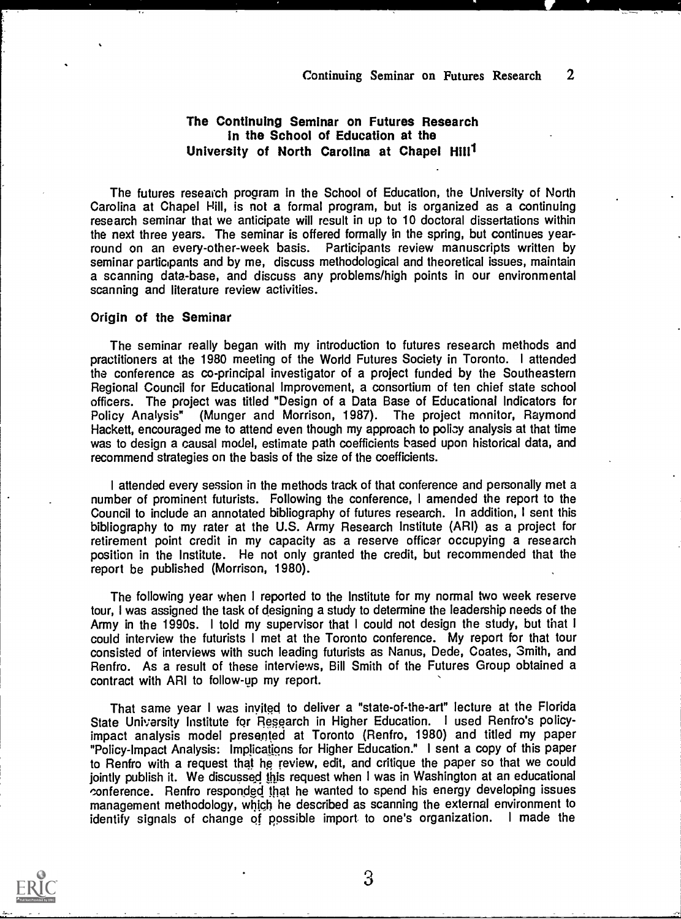## The Continuing Seminar on Futures Research in the School of Education at the University of North Carolina at Chapel Hill<sup>1</sup>

The futures research program in the School of Education, the University of North Carolina at Chapel Hill, is not a formal program, but is organized as a continuing research seminar that we anticipate will result in up to 10 doctoral dissertations within the next three years. The seminar is offered formally in the spring, but continues yearround on an every-other-week basis. Participants review manuscripts written by seminar participants and by me, discuss methodological and theoretical issues, maintain a scanning data-base, and discuss any problems/high points in our environmental scanning and literature review activities.

## Origin of the Seminar

The seminar really began with my introduction to futures research methods and practitioners at the 1980 meeting of the World Futures Society in Toronto. I attended the conference as co-principal investigator of a project funded by the Southeastern Regional Council for Educational Improvement, a consortium of ten chief state school officers. The project was titled "Design of a Data Base of Educational Indicators for<br>Policy Analysis" (Munger and Morrison, 1987). The project monitor, Raymond (Munger and Morrison, 1987). The project monitor, Raymond Hackett, encouraged me to attend even though my approach to policy analysis at that time was to design a causal model, estimate path coefficients based upon historical data, and recommend strategies on the basis of the size of the coefficients.

I attended every session in the methods track of that conference and personally met a number of prominent futurists. Following the conference, I amended the report to the Council to include an annotated bibliography of futures research. In addition, I sent this bibliography to my rater at the U.S. Army Research Institute (ARI) as a project for retirement point credit in my capacity as a reserve officer occupying a research position in the Institute. He not only granted the credit, but recommended that the report be published (Morrison, 1980).

The following year when I reported to the Institute for my normal two week reserve tour, I was assigned the task of designing a study to determine the leadership needs of the Army in the 1990s. <sup>I</sup> told my supervisor that I could not design the study, but that I could interview the futurists I met at the Toronto conference. My report for that tour consisted of interviews with such leading futurists as Nanus, Dede, Coates, Smith, and Renfro. As a result of these interviews, Bill Smith of the Futures Group obtained a contract with ARI to follow-up my report.

That same year I was invited to deliver a "state-of-the-art" lecture at the Florida State University Institute for Research in Higher Education. I used Renfro's policyimpact analysis model presented at Toronto (Renfro, 1980) and titled my paper "Policy-Impact Analysis: Implications for Higher Education." I sent a copy of this paper to Renfro with a request that he review, edit, and critique the paper so that we could jointly publish it. We discussed this request when I was in Washington at an educational conference. Renfro responded that he wanted to spend his energy developing issues management methodology, which he described as scanning the external environment to identify signals of change of possible import to one's organization. <sup>I</sup> made the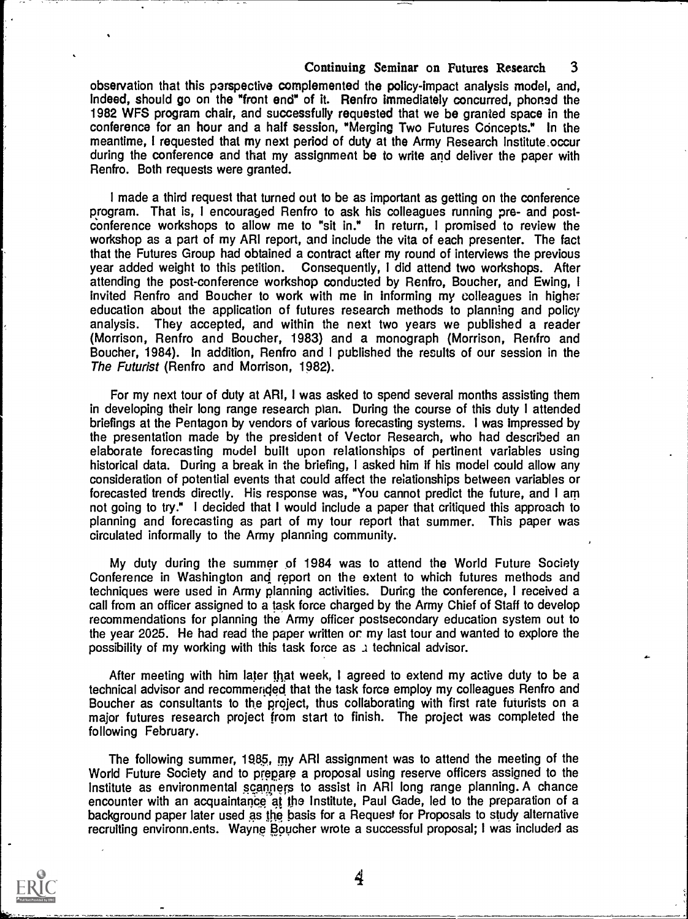#### Continuing Seminar on Futures Research 3

observation that this perspective complemented the policy-impact analysis model, and, Indeed, should go on the "front end" of it. Renfro immediately concurred, phonsd the 1982 WFS program chair, and successfully requested that we be granted space in the conference for an hour and a half session, "Merging Two Futures Concepts." In the meantime, I requested that my next period of duty at the Army Research Institute.occur during the conference and that my assignment be to write and deliver the paper with Renfro. Both requests were granted.

I made a third request that turned out to be as important as getting on the conference program. That is, I encouraged Renfro to ask his colleagues running pre- and postconference workshops to allow me to "sit in." In return, I promised to review the workshop as a part of my ARI report, and include the vita of each presenter. The fact that the Futures Group had obtained a contract after my round of interviews the previous year added weight to this petition. Consequently, I did attend two workshops. After attending the post-conference workshop conducted by Renfro, Boucher, and Ewing, I invited Renfro and Boucher to work with me in informing my colleagues in higher education about the application of futures research methods to planning and policy analysis. They accepted, and within the next two years we published a reader (Morrison, Renfro and Boucher, 1983) and a monograph (Morrison, Renfro and Boucher, 1984). In addition, Renfro and I published the results of our session in the The Futurist (Renfro and Morrison, 1982).

For my next tour of duty at ARI, I was asked to spend several months assisting them in developing their long range research plan. During the course of this duty I attended briefings at the Pentagon by vendors of various forecasting systems. I was impressed by the presentation made by the president of Vector Research, who had described an elaborate forecasting model built upon relationships of pertinent variables using historical data. During a break in the briefing, I asked him if his model could allow any consideration of potential events that could affect the relationships between variables or forecasted trends directly. His response was, "You cannot predict the future, and I am not going to try." I decided that I would include a paper that critiqued this approach to planning and forecasting as part of my tour report that summer. This paper was circulated informally to the Army planning community.

My duty during the summer of 1984 was to attend the World Future Society Conference in Washington and report on the extent to which futures methods and techniques were used in Army planning activities. During the conference, I received a call from an officer assigned to a task force charged by the Army Chief of Staff to develop recommendations for planning the Army officer postsecondary education system out to the year 2025. He had read the paper written or my last tour and wanted to explore the possibility of my working with this task force as  $\mu$  technical advisor.

After meeting with him later that week, I agreed to extend my active duty to be a technical advisor and recommended that the task force employ my colleagues Renfro and Boucher as consultants to the project, thus collaborating with first rate futurists on a major futures research project from start to finish. The project was completed the following February.

The following summer, 1985, my ARI assignment was to attend the meeting of the World Future Society and to prepare a proposal using reserve officers assigned to the Institute as environmental scanners to assist in ARI long range planning. A chance encounter with an acquaintance at the Institute, Paul Gade, led to the preparation of a background paper later used as the basis for a Request for Proposals to study alternative recruiting environn.ents. Wayne Boucher wrote a successful proposal; I was included as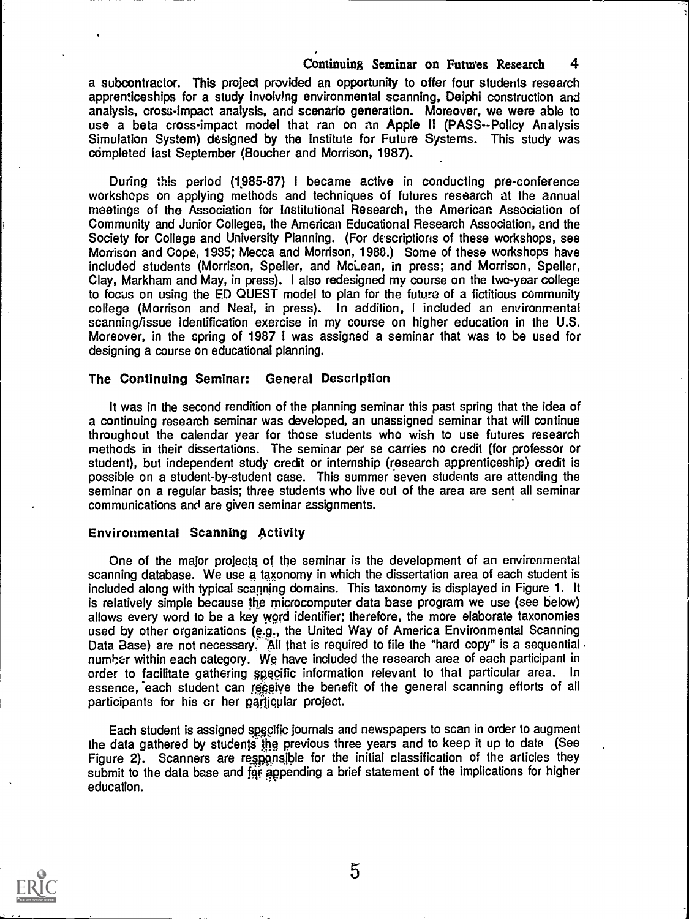a subcontractor. This project provided an opportunity to offer four students research apprenticeships for a study involving environmental scanning, Delphi construction and analysis, cross-impact analysis, and scenario generation. Moreover, we were able to use a beta cross-impact model that ran on an Apple II (PASS--Policy Analysis Simulation System) designed by the Institute for Future Systems. This study was completed last September (Boucher and Morrison, 1987).

During this period (1985-87) <sup>I</sup> became active in conducting pre-conference workshops on applying methods and techniques of futures research at the annual meetings of the Association for Institutional Research, the American Association of Community and Junior Colleges, the American Educational Research Association, and the Society for College and University Planning. (For descriptions of these workshops, see Morrison and Cope, 1985; Mecca and Morrison, 1988.) Some of these workshops have included students (Morrison, Speller, and McLean, in press; and Morrison, Speller, Clay, Markham and May, in press). I also redesigned my course on the two-year college to focus on using the ED QUEST model to plan for the future of a fictitious community college (Morrison and Neal, in press). In addition, <sup>I</sup> included an environmental scanning/issue identification exercise in my course on higher education in the U.S. Moreover, in the spring of 1987 I was assigned a seminar that was to be used for designing a course on educational planning.

#### The Continuing Seminar: General Description

It was in the second rendition of the planning seminar this past spring that the idea of a continuing research seminar was developed, an unassigned seminar that will continue throughout the calendar year for those students who wish to use futures research methods in their dissertations. The seminar per se carries no credit (for professor or student), but independent study credit or internship (research apprenticeship) credit is possible on a student-by-student case. This summer seven students are attending the seminar on a regular basis; three students who live out of the area are sent all seminar communications and are given seminar assignments.

## Environmental Scanning Activity

One of the major projects of the seminar is the development of an environmental scanning database. We use a taxonomy in which the dissertation area of each student is included along with typical scanning domains. This taxonomy is displayed in Figure 1. It is relatively simple because the microcomputer data base program we use (see below) allows every word to be a key word identifier; therefore, the more elaborate taxonomies used by other organizations (e.g., the United Way of America Environmental Scanning Data Base) are not necessary. All that is required to file the "hard copy" is a sequential number within each category. We have included the research area of each participant in order to facilitate gathering specific information relevant to that particular area. In essence, each student can regeive the benefit of the general scanning efforts of all participants for his cr her particular project.

Each student is assigned specific journals and newspapers to scan in order to augment the data gathered by students the previous three years and to keep it up to date (See Figure 2). Scanners are responsible for the initial classification of the articles they submit to the data base and for appending a brief statement of the implications for higher education.

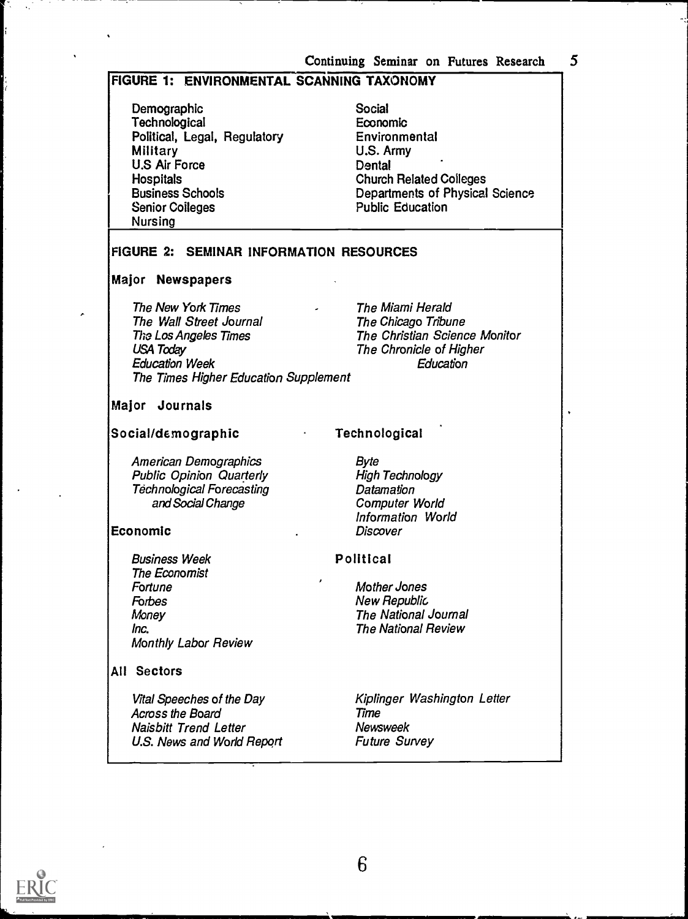## FIGURE 1: ENVIRONMENTAL SCANNING TAXONOMY

- Demographic **Technological** Political, Legal, Regulatory **Military** U.S Air Force **Hospitals** Business Schools Senior Colleges Nursing
- Social Economic Environmental U.S. Army **Dental** Church Related Colleges Departments of Physical Science Public Education

# FIGURE 2: SEMINAR INFORMATION RESOURCES

## Major Newspapers

The New York Times The Wall Street Journal The Los Angeles Times USA Today Education Week The Times Higher Education Supplement

The Miami Herald The Chicago Tribune The Christian Science Monitor The Chronicle of Higher **Education** 

#### Major Journals

## Social/demographic

American Demographics Public Opinion Quarterly Technological Forecasting and Social Change

## Byte High Technology Datamation Computer World Information World **Discover**

Mother Jones New Republic

Technological

Political

## Economic

Business Week The Economist Fortune **Forbes** Money Inc. Monthly Labor Review

### All Sectors

Vital Speeches of the Day Across the Board Naisbitt Trend Letter U.S. News and World Report Kiplinger Washington Letter

The National Journal The National Review

Time Newsweek Future Survey

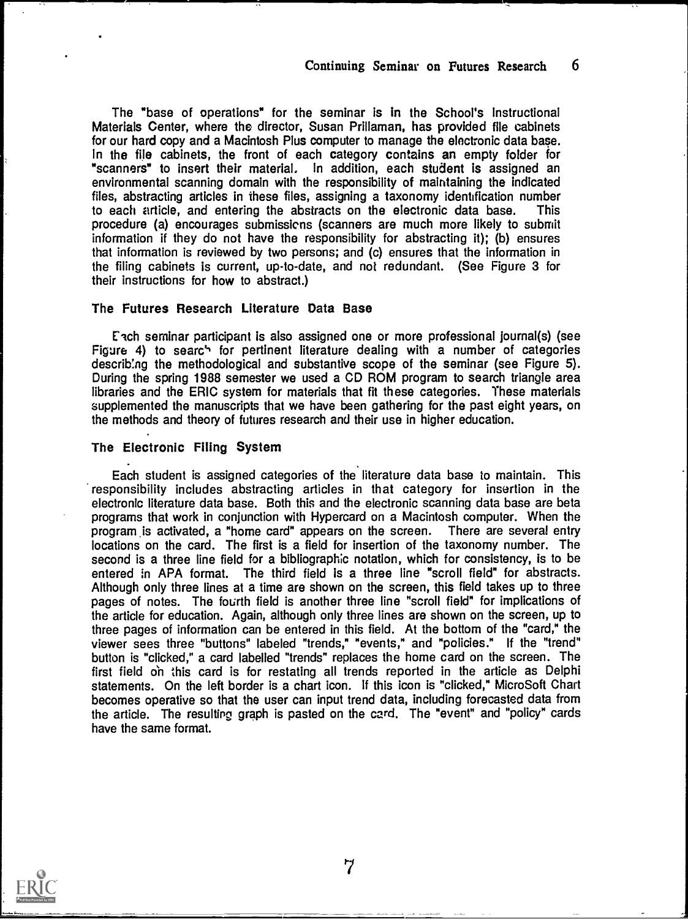The "base of operations" for the seminar is in the School's Instructional Materials Center, where the director, Susan Prillaman, has provided file cabinets for our hard copy and a Macintosh Plus computer to manage the electronic data base. In the file cabinets, the front of each category contains an empty folder for "scanners" to insert their material, In addition, each student is assigned an environmental scanning domain with the responsibility of maintaining the indicated files, abstracting articles in these files, assigning a taxonomy identification number to each article, and entering the abstracts on the electronic data base. This procedure (a) encourages submissions (scanners are much more likely to submit information if they do not have the responsibility for abstracting it); (b) ensures that information is reviewed by two persons; and (c) ensures that the information in the filing cabinets is current, up-to-date, and not redundant. (See Figure 3 for their instructions for how to abstract.)

#### The Futures Research Literature Data Base

Each seminar participant is also assigned one or more professional journal(s) (see Figure 4) to search for pertinent literature dealing with a number of categories describing the methodological and substantive scope of the seminar (see Figure 5). During the spring 1988 semester we used a CD ROM program to search triangle area libraries and the ERIC system for materials that fit these categories. These materials supplemented the manuscripts that we have been gathering for the past eight years, on the methods and theory of futures research and their use in higher education.

#### The Electronic Filing System

Each student is assigned categories of the literature data base to maintain. This responsibility includes abstracting articles in that category for insertion in the electronic literature data base. Both this and the electronic scanning data base are beta programs that work in conjunction with Hypercard on a Macintosh computer. When the program js activated, a "home card" appears on the screen. There are several entry locations on the card. The first is a field for insertion of the taxonomy number. The second is a three line field for a bibliographic notation, which for consistency, is to be entered in APA format. The third field is a three line "scroll field" for abstracts. Although only three lines at a time are shown on the screen, this field takes up to three pages of notes. The fourth field is another three line "scroll field" for implications of the article for education. Again, although only three lines are shown on the screen, up to three pages of information can be entered in this field. At the bottom of the "card," the viewer sees three "buttons" labeled "trends," "events," and "policies." If the "trend" button is "clicked," a card labelled "trends" replaces the home card on the screen. The first field on this card is for restating all trends reported in the article as Delphi statements. On the left border is a chart icon. If this icon is "clicked," MicroSoft Chart becomes operative so that the user can input trend data, including forecasted data from the article. The resulting graph is pasted on the card. The "event" and "policy" cards have the same format.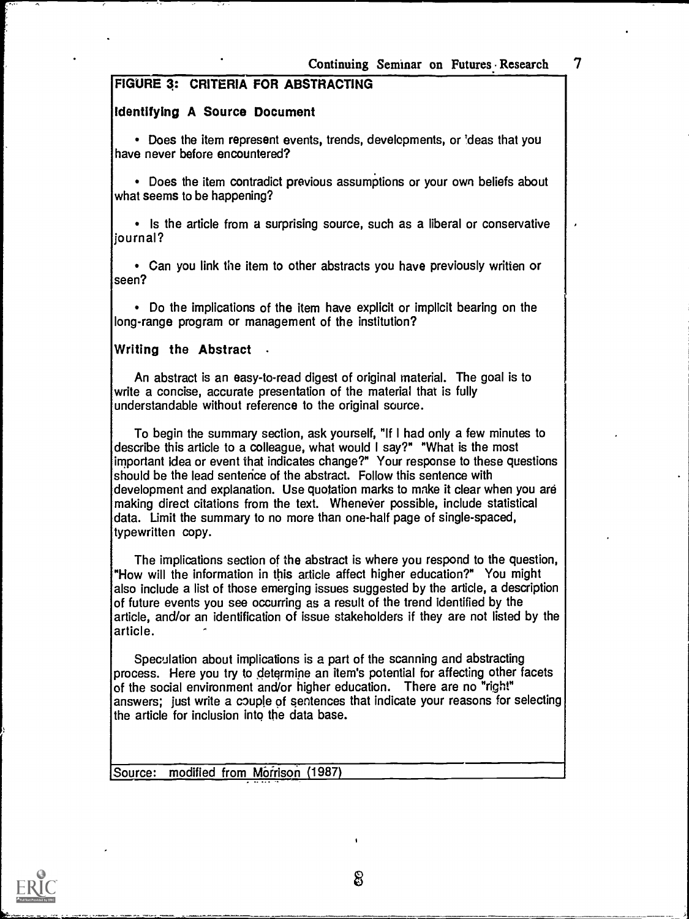# FIGURE 3: CRITERIA FOR ABSTRACTING

## Identifying A Source Document

• Does the item represent events, trends, developments, or 'deas that you have never before encountered?

• Does the item contradict previous assumptions or your own beliefs about what seems to be happening?

• Is the article from a surprising source, such as a liberal or conservative journal?

Can you link the item to other abstracts you have previously written or seen?

Do the implications of the item have explicit or implicit bearing on the long-range program or management of the institution?

## Writing the Abstract

An abstract is an easy-to-read digest of original material. The goal is to write a concise, accurate presentation of the material that is fully understandable without reference to the original source.

To begin the summary section, ask yourself, "If I had only a few minutes to describe this article to a colleague, what would I say?" "What is the most important idea or event that indicates change?" Your response to these questions should be the lead sentence of the abstract. Follow this sentence with development and explanation. Use quotation marks to make it clear when you are making direct citations from the text. Whenever possible, include statistical data. Umit the summary to no more than one-half page of single-spaced, typewritten copy.

The implications section of the abstract is where you respond to the question, "How will the information in this article affect higher education?" You might also include a list of those emerging issues suggested by the article, a description of future events you see occurring as a result of the trend identified by the article, and/or an identification of issue stakeholders if they are not listed by the article.

Speculation about implications is a part of the scanning and abstracting process. Here you try to determine an item's potential for affecting other facets of the social environment and/or higher education. There are no "right" answers; just write a couple of sentences that indicate your reasons for selecting the article for inclusion into the data base.

Source: modified from Morrison (1987)

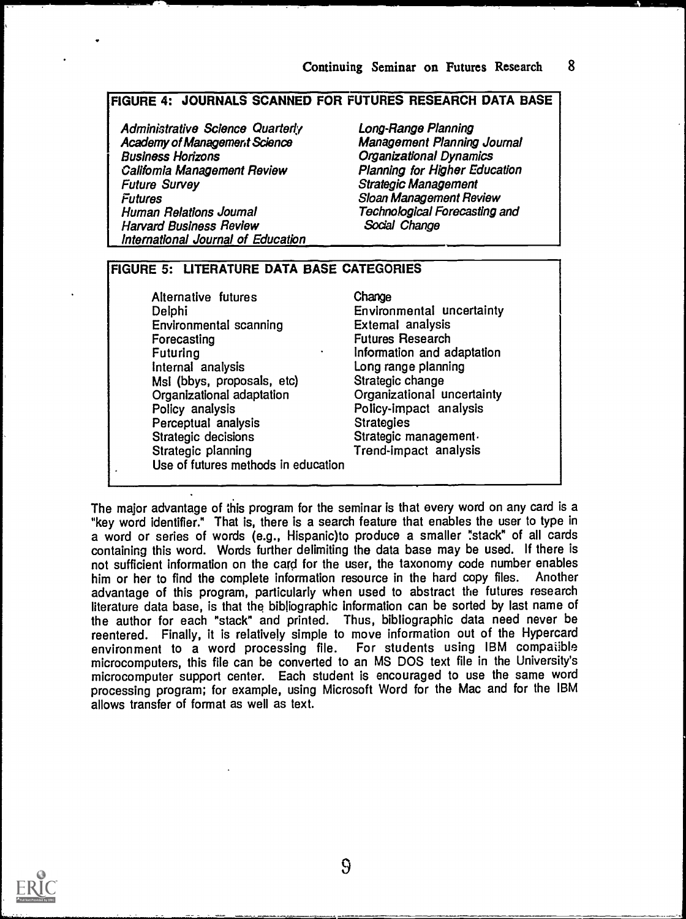# FIGURE 4: JOURNALS SCANNED FOR FUTURES RESEARCH DATA BASE

Administrative Science Quarterly Academy of Management Science Business Horizons California Management Review Future Survey **Futures** Human Relations Journal Harvard Business Review International Journal of Education

Long-Range Planning Management Planning Journal Organizational Dynamics Planning for Higher Education Strategic Management Sloan Management Review Technological Forecasting and Social Change

## FIGURE 5: LITERATURE DATA BASE CATEGORIES

Alternative futures Delphi Environmental scanning Forecasting Futuring Internal analysis Msl (bbys, proposals, etc) Organizational adaptation Policy analysis Perceptual analysis Strategic decisions Strategic planning Use of futures methods in education

Change Environmental uncertainty External analysis Futures Research Information and adaptation Long range planning Strategic change Organizational uncertainty Policy-impact analysis **Strategies** Strategic management. Trend-impact analysis

The major advantage of this program for the seminar is that every word on any card is a "key word identifier." That is, there is a search feature that enables the user to type in a word or series of words (e.g., Hispanic)to produce a smaller !stack" of all cards containing this word. Words further delimiting the data base may be used. If there is not sufficient information on the card for the user, the taxonomy code number enables<br>him or her to find the complete information resource in the hard copy files. Another him or her to find the complete information resource in the hard copy files. advantage of this program, particularly when used to abstract the futures research literature data base, is that the bibliographic information can be sorted by last name of the author for each "stack" and printed. Thus, bibliographic data need never be reentered. Finally, it is relatively simple to move information out of the Hypercard environment to a word processing file. For students using IBM compatible microcomputers, this file can be converted to an MS DOS text file in the University's microcomputer support center. Each student is encouraged to use the same word processing program; for example, using Microsoft Word for the Mac and for the IBM allows transfer of format as well as text.

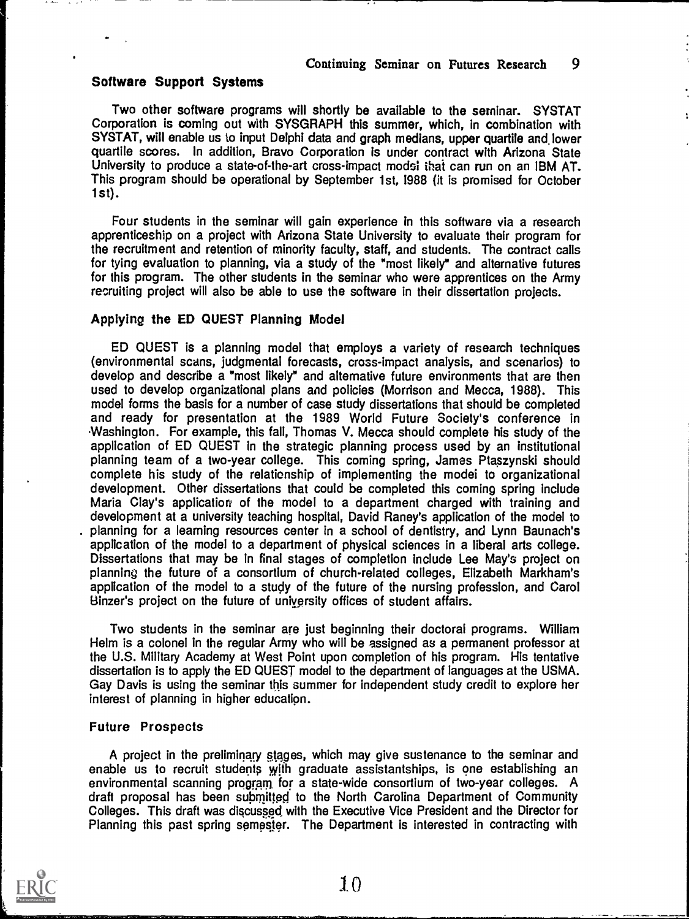## Software Support Systems

Two other software programs will shortly be available to the seminar. SYSTAT Corporation is coming out with SYSGRAPH this summer, which, in combination with SYSTAT, will enable us to input Delphi data and graph medians, upper quartile and, lower quartile scores. In addition, Bravo Corporation is under contract with Arizona State University to produce a state-of-the-art cross-impact modsi that can run on an IBM AT. This program should be operational by September 1st, 1988 (it is promised for October 1st).

Four students in the seminar will gain experience in this software via a research apprenticeship on a project with Arizona State University to evaluate their program for the recruitment and retention of minority faculty, staff, and students. The contract calls for tying evaluation to planning, via a study of the "most likely" and alternative futures for this program. The other students in the seminar who were apprentices on the Army recruiting project will also be able to use the software in their dissertation projects.

## Applying the ED QUEST Planning Model

ED QUEST is a planning model that employs a variety of research techniques (environmental scans, judgmental forecasts, cross-impact analysis, and scenarios) to develop and describe a "most likely" and alternative future environments that are then used to develop organizational plans and policies (Morrison and Mecca, 1988). This model forms the basis for a number of case study dissertations that should be completed and ready for presentation at the 1989 World Future Society's conference in Washington. For example, this fall, Thomas V. Mecca should complete his study of the application of ED QUEST in the strategic planning process used by an institutional planning team of a two-year college. This coming spring, James Ptaszynski should complete his study of the relationship of implementing the modei to organizational development. Other dissertations that could be completed this coming spring include Maria Clay's application of the model to a department charged with training and development at a university teaching hospital, David Raney's application of the model to planning for a learning resources center in a school of dentistry, and Lynn Baunach's application of the model to a department of physical sciences in a liberal arts college. Dissertations that may be in final stages of completion include Lee May's project on planning the future of a consortium of church-related colleges, Elizabeth Markham's application of the model to a study of the future of the nursing profession, and Carol Elinzer's project on the future of university offices of student affairs.

Two students in the seminar are just beginning their doctoral programs. William Helm is a colonel in the regular Army who will be assigned as a permanent professor at the U.S. Military Academy at West Point upon completion of his program. His tentative dissertation is to apply the ED QUEST model to the department of languages at the USMA. Gay Davis is using the seminar this summer for independent study credit to explore her interest of planning in higher education.

#### Future Prospects

A project in the preliminary stages, which may give sustenance to the seminar and enable us to recruit students with graduate assistantships, is one establishing an environmental scanning program for a state-wide consortium of two-year colleges. A draft proposal has been submitted to the North Carolina Department of Community Colleges. This draft was discussed with the Executive Vice President and the Director for Planning this past spring semester. The Department is interested in contracting with

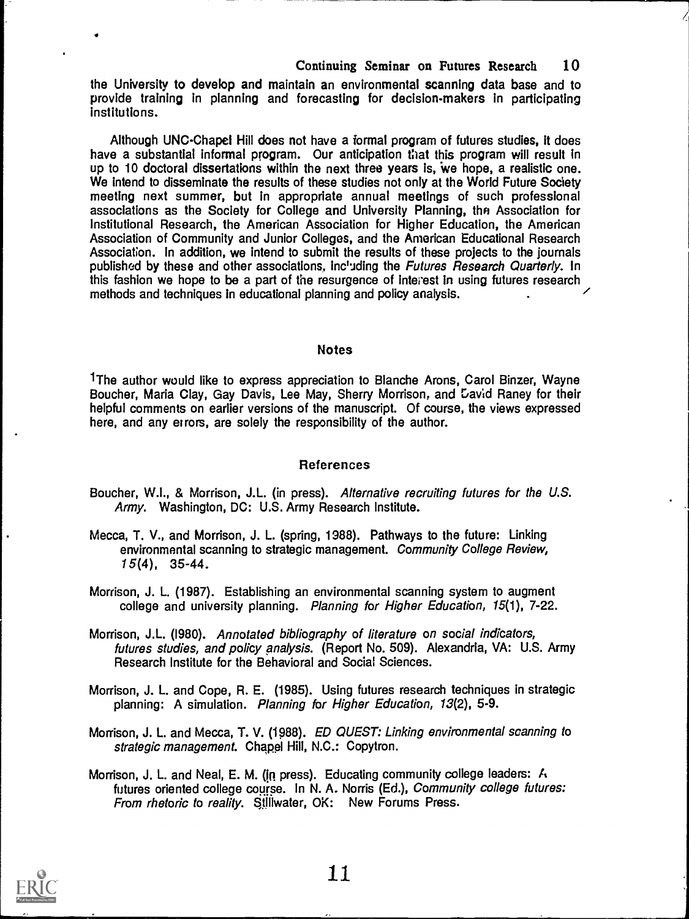the University to develop and maintain an environmental scanning data base and to provide training in planning and forecasting for decision-makers in participating institutions.

Although UNC-Chapel Hill does not have a formal program of futures studies, it does have a substantial informal program. Our anticipation that this program will result in up to 10 doctoral dissertations within the next three years is, we hope, a realistic one. We intend to disseminate the results of these studies not only at the World Future Society meeting next summer, but in appropriate annual meetings of such professional associations as the Society for College and University Planning, the Association for Institutional Research, the American Association for Higher Education, the American Association of Community and Junior Colleges, and the American Educational Research Association. In addition, we intend to submit the results of these projects to the journals published by these and other associations, including the Futures Research Quarterly. In this fashion we hope to be a part of the resurgence of interest in using futures research methods and techniques in educational planning and policy analysis.

### Notes

1The author would like to express appreciation to Blanche Arons, Carol Binzer, Wayne Boucher, Maria Clay, Gay Davis, Lee May, Sherry Morrison, and David Raney for their helpful comments on earlier versions of the manuscript. Of course, the views expressed here, and any errors, are solely the responsibility of the author.

## References

- Boucher, W.I., & Morrison, J.L. (in press). Alternative recruiting futures for the U.S. Army. Washington, DC: U.S. Army Research Institute.
- Mecca, T. V., and Morrison, J. L. (spring, 1988). Pathways to the future: Linking environmental scanning to strategic management. Community College Review, 15(4), 35-44.
- Morrison, J. L. (1987). Establishing an environmental scanning system to augment college and university planning. Planning for Higher Education, 15(1), 7-22.
- Morrison, J.L. (1980). Annotated bibliography of literature on social indicators, futures studies, and policy analysis. (Report No. 509). Alexandria, VA: U.S. Army Research Institute for the Behavioral and Social Sciences.
- Morrison, J. L. and Cope, R. E. (1985). Using futures research techniques in strategic planning: A simulation. Planning for Higher Education, 13(2), 5-9.
- Morrison, J. L. and Mecca, T. V. (1988). ED QUEST: Linking environmental scanning to strategic management. Chapel Hill, N.C.: Copytron.
- Morrison, J. L. and Neal, E. M. (in press). Educating community college leaders: A futures oriented college course. In N. A. Norris (Ed.), Community college futures: From rhetoric to reality. Stlllwater, OK: New Forums Press.